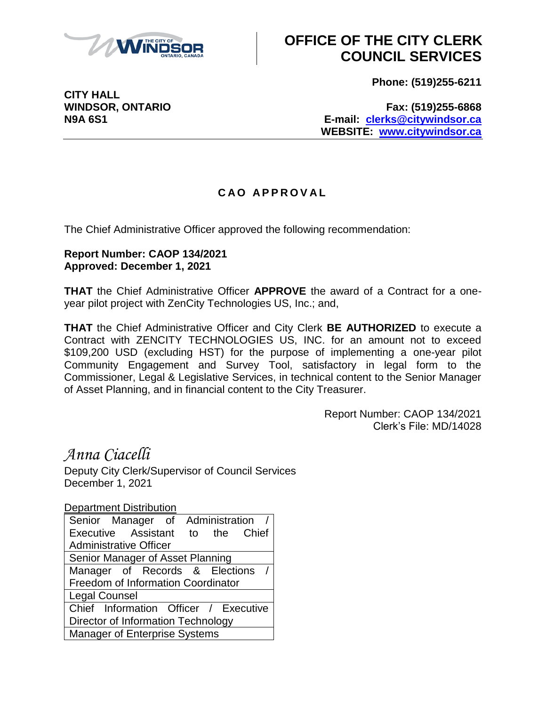

## **OFFICE OF THE CITY CLERK COUNCIL SERVICES**

**Phone: (519)255-6211**

**CITY HALL**

**WINDSOR, ONTARIO Fax: (519)255-6868 N9A 6S1 E-mail: [clerks@citywindsor.ca](mailto:clerks@citywindsor.ca) WEBSITE: [www.citywindsor.ca](http://www.citywindsor.ca/)**

## **C A O A P P R O V A L**

The Chief Administrative Officer approved the following recommendation:

## **Report Number: CAOP 134/2021 Approved: December 1, 2021**

**THAT** the Chief Administrative Officer **APPROVE** the award of a Contract for a oneyear pilot project with ZenCity Technologies US, Inc.; and,

**THAT** the Chief Administrative Officer and City Clerk **BE AUTHORIZED** to execute a Contract with ZENCITY TECHNOLOGIES US, INC. for an amount not to exceed \$109,200 USD (excluding HST) for the purpose of implementing a one-year pilot Community Engagement and Survey Tool, satisfactory in legal form to the Commissioner, Legal & Legislative Services, in technical content to the Senior Manager of Asset Planning, and in financial content to the City Treasurer.

> Report Number: CAOP 134/2021 Clerk's File: MD/14028

*Anna Ciacelli*

Deputy City Clerk/Supervisor of Council Services December 1, 2021

Department Distribution

| Executive Assistant to the Chief<br><b>Administrative Officer</b> |
|-------------------------------------------------------------------|
|                                                                   |
|                                                                   |
| Senior Manager of Asset Planning                                  |
| Manager of Records & Elections                                    |
| Freedom of Information Coordinator                                |
| <b>Legal Counsel</b>                                              |
| Chief Information Officer / Executive                             |
| Director of Information Technology                                |
| Manager of Enterprise Systems                                     |